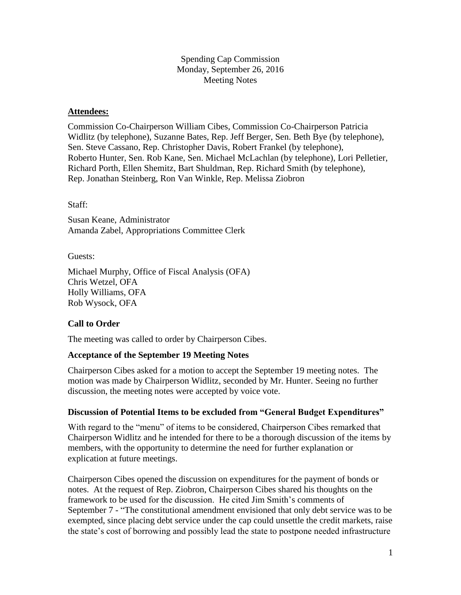Spending Cap Commission Monday, September 26, 2016 Meeting Notes

### **Attendees:**

Commission Co-Chairperson William Cibes, Commission Co-Chairperson Patricia Widlitz (by telephone), Suzanne Bates, Rep. Jeff Berger, Sen. Beth Bye (by telephone), Sen. Steve Cassano, Rep. Christopher Davis, Robert Frankel (by telephone), Roberto Hunter, Sen. Rob Kane, Sen. Michael McLachlan (by telephone), Lori Pelletier, Richard Porth, Ellen Shemitz, Bart Shuldman, Rep. Richard Smith (by telephone), Rep. Jonathan Steinberg, Ron Van Winkle, Rep. Melissa Ziobron

Staff:

Susan Keane, Administrator Amanda Zabel, Appropriations Committee Clerk

Guests:

Michael Murphy, Office of Fiscal Analysis (OFA) Chris Wetzel, OFA Holly Williams, OFA Rob Wysock, OFA

## **Call to Order**

The meeting was called to order by Chairperson Cibes.

#### **Acceptance of the September 19 Meeting Notes**

Chairperson Cibes asked for a motion to accept the September 19 meeting notes. The motion was made by Chairperson Widlitz, seconded by Mr. Hunter. Seeing no further discussion, the meeting notes were accepted by voice vote.

#### **Discussion of Potential Items to be excluded from "General Budget Expenditures"**

With regard to the "menu" of items to be considered, Chairperson Cibes remarked that Chairperson Widlitz and he intended for there to be a thorough discussion of the items by members, with the opportunity to determine the need for further explanation or explication at future meetings.

Chairperson Cibes opened the discussion on expenditures for the payment of bonds or notes. At the request of Rep. Ziobron, Chairperson Cibes shared his thoughts on the framework to be used for the discussion. He cited Jim Smith's comments of September 7 - "The constitutional amendment envisioned that only debt service was to be exempted, since placing debt service under the cap could unsettle the credit markets, raise the state's cost of borrowing and possibly lead the state to postpone needed infrastructure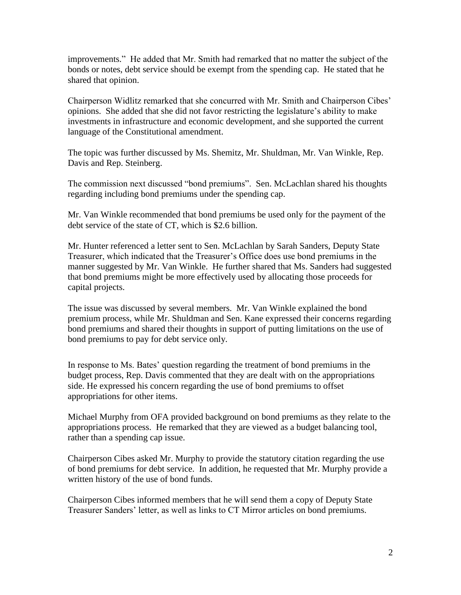improvements." He added that Mr. Smith had remarked that no matter the subject of the bonds or notes, debt service should be exempt from the spending cap. He stated that he shared that opinion.

Chairperson Widlitz remarked that she concurred with Mr. Smith and Chairperson Cibes' opinions. She added that she did not favor restricting the legislature's ability to make investments in infrastructure and economic development, and she supported the current language of the Constitutional amendment.

The topic was further discussed by Ms. Shemitz, Mr. Shuldman, Mr. Van Winkle, Rep. Davis and Rep. Steinberg.

The commission next discussed "bond premiums". Sen. McLachlan shared his thoughts regarding including bond premiums under the spending cap.

Mr. Van Winkle recommended that bond premiums be used only for the payment of the debt service of the state of CT, which is \$2.6 billion.

Mr. Hunter referenced a letter sent to Sen. McLachlan by Sarah Sanders, Deputy State Treasurer, which indicated that the Treasurer's Office does use bond premiums in the manner suggested by Mr. Van Winkle. He further shared that Ms. Sanders had suggested that bond premiums might be more effectively used by allocating those proceeds for capital projects.

The issue was discussed by several members. Mr. Van Winkle explained the bond premium process, while Mr. Shuldman and Sen. Kane expressed their concerns regarding bond premiums and shared their thoughts in support of putting limitations on the use of bond premiums to pay for debt service only.

In response to Ms. Bates' question regarding the treatment of bond premiums in the budget process, Rep. Davis commented that they are dealt with on the appropriations side. He expressed his concern regarding the use of bond premiums to offset appropriations for other items.

Michael Murphy from OFA provided background on bond premiums as they relate to the appropriations process. He remarked that they are viewed as a budget balancing tool, rather than a spending cap issue.

Chairperson Cibes asked Mr. Murphy to provide the statutory citation regarding the use of bond premiums for debt service. In addition, he requested that Mr. Murphy provide a written history of the use of bond funds.

Chairperson Cibes informed members that he will send them a copy of Deputy State Treasurer Sanders' letter, as well as links to CT Mirror articles on bond premiums.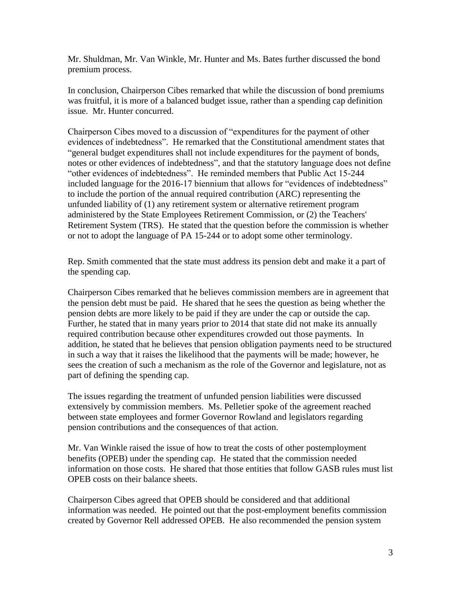Mr. Shuldman, Mr. Van Winkle, Mr. Hunter and Ms. Bates further discussed the bond premium process.

In conclusion, Chairperson Cibes remarked that while the discussion of bond premiums was fruitful, it is more of a balanced budget issue, rather than a spending cap definition issue. Mr. Hunter concurred.

Chairperson Cibes moved to a discussion of "expenditures for the payment of other evidences of indebtedness". He remarked that the Constitutional amendment states that "general budget expenditures shall not include expenditures for the payment of bonds, notes or other evidences of indebtedness", and that the statutory language does not define "other evidences of indebtedness". He reminded members that Public Act 15-244 included language for the 2016-17 biennium that allows for "evidences of indebtedness" to include the portion of the annual required contribution (ARC) representing the unfunded liability of (1) any retirement system or alternative retirement program administered by the State Employees Retirement Commission, or (2) the Teachers' Retirement System (TRS). He stated that the question before the commission is whether or not to adopt the language of PA 15-244 or to adopt some other terminology.

Rep. Smith commented that the state must address its pension debt and make it a part of the spending cap.

Chairperson Cibes remarked that he believes commission members are in agreement that the pension debt must be paid. He shared that he sees the question as being whether the pension debts are more likely to be paid if they are under the cap or outside the cap. Further, he stated that in many years prior to 2014 that state did not make its annually required contribution because other expenditures crowded out those payments. In addition, he stated that he believes that pension obligation payments need to be structured in such a way that it raises the likelihood that the payments will be made; however, he sees the creation of such a mechanism as the role of the Governor and legislature, not as part of defining the spending cap.

The issues regarding the treatment of unfunded pension liabilities were discussed extensively by commission members. Ms. Pelletier spoke of the agreement reached between state employees and former Governor Rowland and legislators regarding pension contributions and the consequences of that action.

Mr. Van Winkle raised the issue of how to treat the costs of other postemployment benefits (OPEB) under the spending cap. He stated that the commission needed information on those costs. He shared that those entities that follow GASB rules must list OPEB costs on their balance sheets.

Chairperson Cibes agreed that OPEB should be considered and that additional information was needed. He pointed out that the post-employment benefits commission created by Governor Rell addressed OPEB. He also recommended the pension system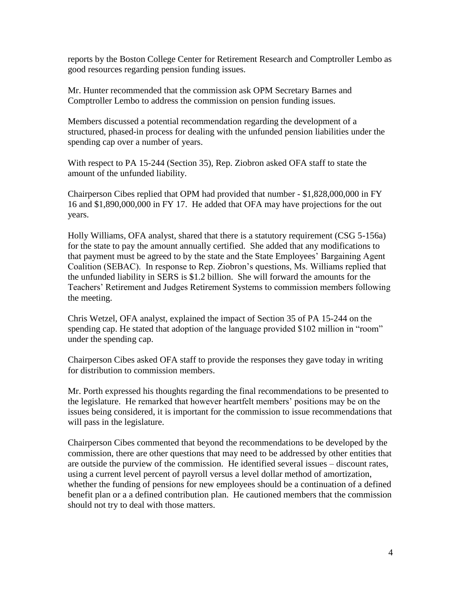reports by the Boston College Center for Retirement Research and Comptroller Lembo as good resources regarding pension funding issues.

Mr. Hunter recommended that the commission ask OPM Secretary Barnes and Comptroller Lembo to address the commission on pension funding issues.

Members discussed a potential recommendation regarding the development of a structured, phased-in process for dealing with the unfunded pension liabilities under the spending cap over a number of years.

With respect to PA 15-244 (Section 35), Rep. Ziobron asked OFA staff to state the amount of the unfunded liability.

Chairperson Cibes replied that OPM had provided that number - \$1,828,000,000 in FY 16 and \$1,890,000,000 in FY 17. He added that OFA may have projections for the out years.

Holly Williams, OFA analyst, shared that there is a statutory requirement (CSG 5-156a) for the state to pay the amount annually certified. She added that any modifications to that payment must be agreed to by the state and the State Employees' Bargaining Agent Coalition (SEBAC). In response to Rep. Ziobron's questions, Ms. Williams replied that the unfunded liability in SERS is \$1.2 billion. She will forward the amounts for the Teachers' Retirement and Judges Retirement Systems to commission members following the meeting.

Chris Wetzel, OFA analyst, explained the impact of Section 35 of PA 15-244 on the spending cap. He stated that adoption of the language provided \$102 million in "room" under the spending cap.

Chairperson Cibes asked OFA staff to provide the responses they gave today in writing for distribution to commission members.

Mr. Porth expressed his thoughts regarding the final recommendations to be presented to the legislature. He remarked that however heartfelt members' positions may be on the issues being considered, it is important for the commission to issue recommendations that will pass in the legislature.

Chairperson Cibes commented that beyond the recommendations to be developed by the commission, there are other questions that may need to be addressed by other entities that are outside the purview of the commission. He identified several issues – discount rates, using a current level percent of payroll versus a level dollar method of amortization, whether the funding of pensions for new employees should be a continuation of a defined benefit plan or a a defined contribution plan. He cautioned members that the commission should not try to deal with those matters.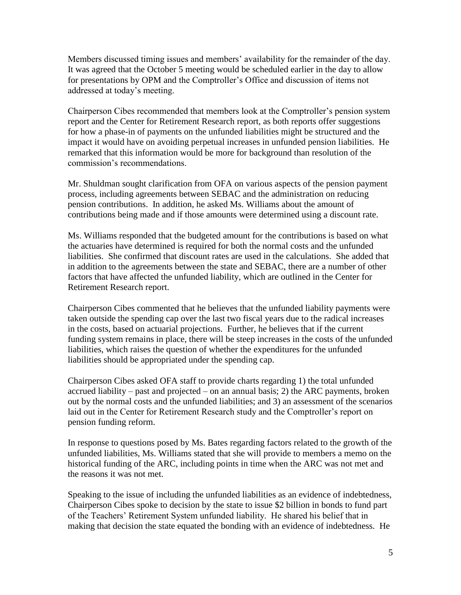Members discussed timing issues and members' availability for the remainder of the day. It was agreed that the October 5 meeting would be scheduled earlier in the day to allow for presentations by OPM and the Comptroller's Office and discussion of items not addressed at today's meeting.

Chairperson Cibes recommended that members look at the Comptroller's pension system report and the Center for Retirement Research report, as both reports offer suggestions for how a phase-in of payments on the unfunded liabilities might be structured and the impact it would have on avoiding perpetual increases in unfunded pension liabilities. He remarked that this information would be more for background than resolution of the commission's recommendations.

Mr. Shuldman sought clarification from OFA on various aspects of the pension payment process, including agreements between SEBAC and the administration on reducing pension contributions. In addition, he asked Ms. Williams about the amount of contributions being made and if those amounts were determined using a discount rate.

Ms. Williams responded that the budgeted amount for the contributions is based on what the actuaries have determined is required for both the normal costs and the unfunded liabilities. She confirmed that discount rates are used in the calculations. She added that in addition to the agreements between the state and SEBAC, there are a number of other factors that have affected the unfunded liability, which are outlined in the Center for Retirement Research report.

Chairperson Cibes commented that he believes that the unfunded liability payments were taken outside the spending cap over the last two fiscal years due to the radical increases in the costs, based on actuarial projections. Further, he believes that if the current funding system remains in place, there will be steep increases in the costs of the unfunded liabilities, which raises the question of whether the expenditures for the unfunded liabilities should be appropriated under the spending cap.

Chairperson Cibes asked OFA staff to provide charts regarding 1) the total unfunded accrued liability – past and projected – on an annual basis; 2) the ARC payments, broken out by the normal costs and the unfunded liabilities; and 3) an assessment of the scenarios laid out in the Center for Retirement Research study and the Comptroller's report on pension funding reform.

In response to questions posed by Ms. Bates regarding factors related to the growth of the unfunded liabilities, Ms. Williams stated that she will provide to members a memo on the historical funding of the ARC, including points in time when the ARC was not met and the reasons it was not met.

Speaking to the issue of including the unfunded liabilities as an evidence of indebtedness, Chairperson Cibes spoke to decision by the state to issue \$2 billion in bonds to fund part of the Teachers' Retirement System unfunded liability. He shared his belief that in making that decision the state equated the bonding with an evidence of indebtedness. He